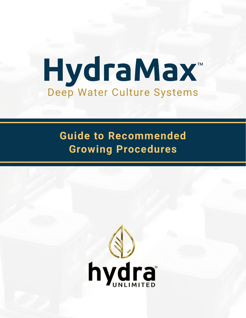# **HydraMax**™ Deep Water Culture Systems

# **Guide to Recommended Growing Procedures**

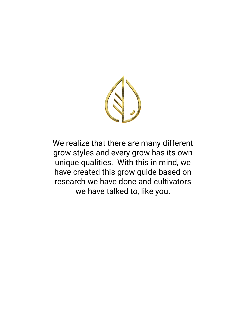

We realize that there are many different grow styles and every grow has its own unique qualities. With this in mind, we have created this grow guide based on research we have done and cultivators we have talked to, like you.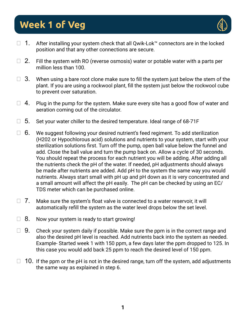# **Week 1 of Veg**



- $\Box$  1. After installing your system check that all Qwik-Lok™ connectors are in the locked position and that any other connections are secure.
- $\Box$  2. Fill the system with RO (reverse osmosis) water or potable water with a parts per million less than 100.
- $\Box$  3. When using a bare root clone make sure to fill the system just below the stem of the plant. If you are using a rockwool plant, fill the system just below the rockwool cube to prevent over saturation.
- $\Box$  4. Plug in the pump for the system. Make sure every site has a good flow of water and aeration coming out of the circulator.
- $\square$  5. Set your water chiller to the desired temperature. Ideal range of 68-71F
- $\Box$  6. We suggest following your desired nutrient's feed regiment. To add sterilization (H202 or Hypochlorous acid) solutions and nutrients to your system, start with your sterilization solutions first. Turn off the pump, open ball value below the funnel and add. Close the ball value and turn the pump back on. Allow a cycle of 30 seconds. You should repeat the process for each nutrient you will be adding. After adding all the nutrients check the pH of the water. If needed, pH adjustments should always be made after nutrients are added. Add pH to the system the same way you would nutrients. Always start small with pH up and pH down as it is very concentrated and a small amount will affect the pH easily. The pH can be checked by using an EC/ TDS meter which can be purchased online.
- $\Box$  7. Make sure the system's float valve is connected to a water reservoir, it will automatically refill the system as the water level drops below the set level.
- $\Box$  8. Now your system is ready to start growing!
- $\Box$  9. Check your system daily if possible. Make sure the ppm is in the correct range and also the desired pH level is reached. Add nutrients back into the system as needed. Example- Started week 1 with 150 ppm, a few days later the ppm dropped to 125. In this case you would add back 25 ppm to reach the desired level of 150 ppm.
- $\Box$  10. If the ppm or the pH is not in the desired range, turn off the system, add adjustments the same way as explained in step 6.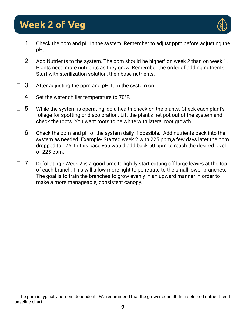# **Week 2 of Veg**



- $\Box$  1. Check the ppm and pH in the system. Remember to adjust ppm before adjusting the pH.
- $\Box$  2. Add Nutrients to the system. The ppm should be higher<sup>1</sup> on week 2 than on week 1. Plants need more nutrients as they grow. Remember the order of adding nutrients. Start with sterilization solution, then base nutrients.
- $\Box$  3. After adjusting the ppm and pH, turn the system on.
- $\Box$  4. Set the water chiller temperature to 70°F.
- $\Box$  5. While the system is operating, do a health check on the plants. Check each plant's foliage for spotting or discoloration. Lift the plant's net pot out of the system and check the roots. You want roots to be white with lateral root growth.
- $\Box$  6. Check the ppm and pH of the system daily if possible. Add nutrients back into the system as needed. Example- Started week 2 with 225 ppm,a few days later the ppm dropped to 175. In this case you would add back 50 ppm to reach the desired level of 225 ppm.
- $\Box$  7. Defoliating Week 2 is a good time to lightly start cutting off large leaves at the top of each branch. This will allow more light to penetrate to the small lower branches. The goal is to train the branches to grow evenly in an upward manner in order to make a more manageable, consistent canopy.

<sup>1</sup>The ppm is typically nutrient dependent. We recommend that the grower consult their selected nutrient feed baseline chart.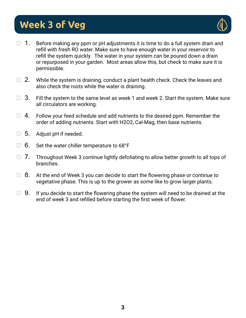# **Week 3 of Veg**



- $\Box$  1. Before making any ppm or pH adjustments it is time to do a full system drain and refill with fresh RO water. Make sure to have enough water in your reservoir to refill the system quickly. The water in your system can be poured down a drain or repurposed in your garden. Most areas allow this, but check to make sure it is permissible.
- $\Box$  2. While the system is draining, conduct a plant health check. Check the leaves and also check the roots while the water is draining.
- $\Box$  3. Fill the system to the same level as week 1 and week 2. Start the system. Make sure all circulators are working.
- $\Box$  4. Follow your feed schedule and add nutrients to the desired ppm. Remember the order of adding nutrients. Start with H2O2, Cal-Mag, then base nutrients.
- $\square$  5. Adjust pH if needed.
- $\Box$  6. Set the water chiller temperature to 68°F
- $\Box$  7. Throughout Week 3 continue lightly defoliating to allow better growth to all tops of branches.
- $\Box$  8. At the end of Week 3 you can decide to start the flowering phase or continue to vegetative phase. This is up to the grower as some like to grow larger plants.
- $\Box$  9. If you decide to start the flowering phase the system will need to be drained at the end of week 3 and refilled before starting the first week of flower.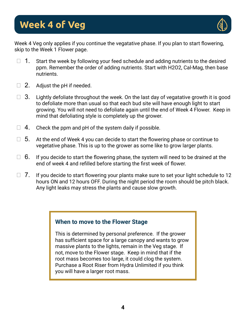

Week 4 Veg only applies if you continue the vegatative phase. If you plan to start flowering, skip to the Week 1 Flower page.

- $\Box$  1. Start the week by following your feed schedule and adding nutrients to the desired ppm. Remember the order of adding nutrients. Start with H2O2, Cal-Mag, then base nutrients.
- $\Box$  2. Adjust the pH if needed.
- $\Box$  3. Lightly defoliate throughout the week. On the last day of vegatative growth it is good to defoliate more than usual so that each bud site will have enough light to start growing. You will not need to defoliate again until the end of Week 4 Flower. Keep in mind that defoliating style is completely up the grower.
- $\Box$  4. Check the ppm and pH of the system daily if possible.
- $\Box$  5. At the end of Week 4 you can decide to start the flowering phase or continue to vegetative phase. This is up to the grower as some like to grow larger plants.
- $\Box$  6. If you decide to start the flowering phase, the system will need to be drained at the end of week 4 and refilled before starting the first week of flower.
- $\Box$  7. If you decide to start flowering your plants make sure to set your light schedule to 12 hours ON and 12 hours OFF. During the night period the room should be pitch black. Any light leaks may stress the plants and cause slow growth.

### **When to move to the Flower Stage**

This is determined by personal preference. If the grower has sufficient space for a large canopy and wants to grow massive plants to the lights, remain in the Veg stage. If not, move to the Flower stage. Keep in mind that if the root mass becomes too large, it could clog the system. Purchase a Root Riser from Hydra Unlimited if you think you will have a larger root mass.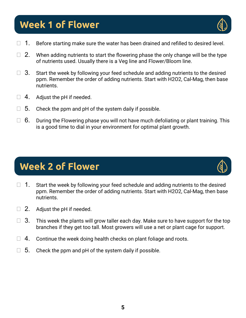# **Week 1 of Flower**

- $\Box$  1. Before starting make sure the water has been drained and refilled to desired level.
- $\Box$  2. When adding nutrients to start the flowering phase the only change will be the type of nutrients used. Usually there is a Veg line and Flower/Bloom line.
- $\Box$  3. Start the week by following your feed schedule and adding nutrients to the desired ppm. Remember the order of adding nutrients. Start with H2O2, Cal-Mag, then base nutrients.
- $\Box$  4. Adjust the pH if needed.
- $\Box$  5. Check the ppm and pH of the system daily if possible.
- $\Box$  6. During the Flowering phase you will not have much defoliating or plant training. This is a good time to dial in your environment for optimal plant growth.

## **Week 2 of Flower**

- $\Box$  1. Start the week by following your feed schedule and adding nutrients to the desired ppm. Remember the order of adding nutrients. Start with H2O2, Cal-Mag, then base nutrients.
- $\Box$  2. Adjust the pH if needed.
- $\Box$  3. This week the plants will grow taller each day. Make sure to have support for the top branches if they get too tall. Most growers will use a net or plant cage for support.
- $\Box$  4. Continue the week doing health checks on plant foliage and roots.
- $\Box$  5. Check the ppm and pH of the system daily if possible.



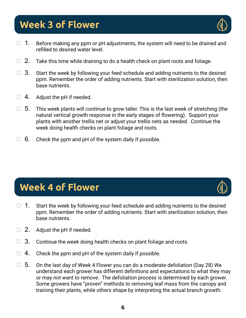# **Week 3 of Flower**

- $\Box$  1. Before making any ppm or pH adjustments, the system will need to be drained and refilled to desired water level.
- $\Box$  2. Take this time while draining to do a health check on plant roots and foliage.
- $\Box$  3. Start the week by following your feed schedule and adding nutrients to the desired ppm. Remember the order of adding nutrients. Start with sterilization solution, then base nutrients.
- $\Box$  4. Adjust the pH if needed.
- $\Box$  5. This week plants will continue to grow taller. This is the last week of stretching (the natural vertical growth response in the early stages of flowering). Support your plants with another trellis net or adjust your trellis nets as needed. Continue the week doing health checks on plant foliage and roots.
- $\Box$  6. Check the ppm and pH of the system daily if possible.

## **Week 4 of Flower**

- $\Box$  1. Start the week by following your feed schedule and adding nutrients to the desired ppm. Remember the order of adding nutrients. Start with sterilization solution, then base nutrients.
- $\Box$  2. Adjust the pH if needed.
- $\Box$  3. Continue the week doing health checks on plant foliage and roots.
- $\Box$  4. Check the ppm and pH of the system daily if possible.
- $\Box$  5. On the last day of Week 4 Flower you can do a moderate defoliation (Day 28) We understand each grower has different definitions and expectations to what they may or may not want to remove. The defoliation process is determined by each grower. Some growers have "proven" methods to removing leaf mass from the canopy and training their plants, while others shape by interpreting the actual branch growth.



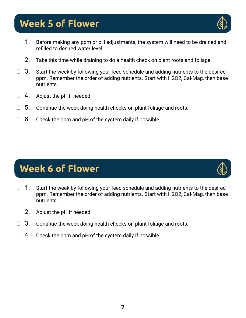## **Week 5 of Flower**

- $\Box$  1. Before making any ppm or pH adjustments, the system will need to be drained and refilled to desired water level.
- $\Box$  2. Take this time while draining to do a health check on plant roots and foliage.
- $\Box$  3. Start the week by following your feed schedule and adding nutrients to the desired ppm. Remember the order of adding nutrients. Start with H2O2, Cal-Mag, then base nutrients.
- $\Box$  4. Adjust the pH if needed.
- $\Box$  5. Continue the week doing health checks on plant foliage and roots.
- $\Box$  6. Check the ppm and pH of the system daily if possible.

# **Week 6 of Flower**

- $\Box$  1. Start the week by following your feed schedule and adding nutrients to the desired ppm. Remember the order of adding nutrients. Start with H2O2, Cal-Mag, then base nutrients.
- $\Box$  2. Adjust the pH if needed.
- $\Box$  3. Continue the week doing health checks on plant foliage and roots.
- $\Box$  4. Check the ppm and pH of the system daily if possible.



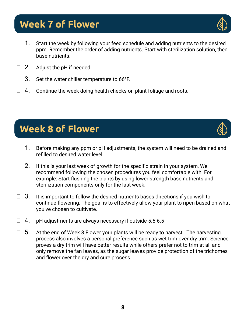### **Week 7 of Flower**

- $\Box$  1. Start the week by following your feed schedule and adding nutrients to the desired ppm. Remember the order of adding nutrients. Start with sterilization solution, then base nutrients.
- $\Box$  2. Adjust the pH if needed.
- $\Box$  3. Set the water chiller temperature to 66°F.
- $\Box$  4. Continue the week doing health checks on plant foliage and roots.

# **Week 8 of Flower**

- $\Box$  1. Before making any ppm or pH adjustments, the system will need to be drained and refilled to desired water level.
- $\Box$  2. If this is your last week of growth for the specific strain in your system, We recommend following the chosen procedures you feel comfortable with. For example: Start flushing the plants by using lower strength base nutrients and sterilization components only for the last week.
- $\Box$  3. It is important to follow the desired nutrients bases directions if you wish to continue flowering. The goal is to effectively allow your plant to ripen based on what you've chosen to cultivate.
- $\Box$  4. pH adjustments are always necessary if outside 5.5-6.5
- $\Box$  5. At the end of Week 8 Flower your plants will be ready to harvest. The harvesting process also involves a personal preference such as wet trim over dry trim. Science proves a dry trim will have better results while others prefer not to trim at all and only remove the fan leaves, as the sugar leaves provide protection of the trichomes and flower over the dry and cure process.



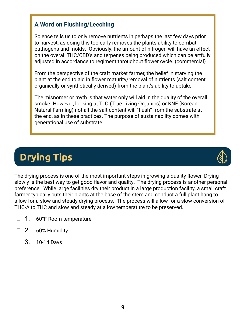### **A Word on Flushing/Leeching**

Science tells us to only remove nutrients in perhaps the last few days prior to harvest, as doing this too early removes the plants ability to combat pathogens and molds. Obviously, the amount of nitrogen will have an effect on the overall THC/CBD's and terpenes being produced which can be artfully adjusted in accordance to regiment throughout flower cycle. (commercial)

From the perspective of the craft market farmer, the belief in starving the plant at the end to aid in flower maturity/removal of nutrients (salt content organically or synthetically derived) from the plant's ability to uptake.

The misnomer or myth is that water only will aid in the quality of the overall smoke. However, looking at TLO (True Living Organics) or KNF (Korean Natural Farming) not all the salt content will "flush" from the substrate at the end, as in these practices. The purpose of sustainability comes with generational use of substrate.

# **Drying Tips**



The drying process is one of the most important steps in growing a quality flower. Drying slowly is the best way to get good flavor and quality. The drying process is another personal preference. While large facilities dry their product in a large production facility, a small craft farmer typically cuts their plants at the base of the stem and conduct a full plant hang to allow for a slow and steady drying process. The process will allow for a slow conversion of THC-A to THC and slow and steady at a low temperature to be preserved.

- $\Box$  1. 60°F Room temperature
- $\Box$  2. 60% Humidity
- ⬜ 3. 10-14 Days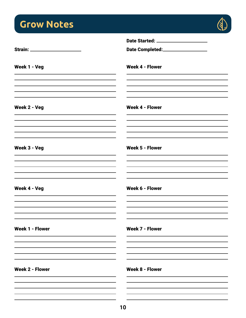# **Grow Notes**



|                        | Date Started: _____________________ |
|------------------------|-------------------------------------|
|                        | Date Completed:__________________   |
| Week 1 - Veg           | <b>Week 4 - Flower</b>              |
| Week 2 - Veg           | <b>Week 4 - Flower</b>              |
|                        |                                     |
| Week 3 - Veg           | <b>Week 5 - Flower</b>              |
| Week 4 - Veg           | <b>Week 6 - Flower</b>              |
| <b>Week 1 - Flower</b> | <b>Week 7 - Flower</b>              |
|                        |                                     |
| <b>Week 2 - Flower</b> | <b>Week 8 - Flower</b>              |
|                        |                                     |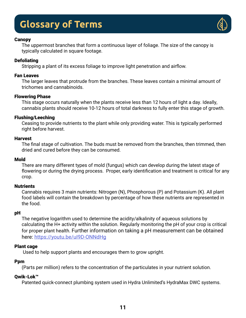### **Glossary of Terms**



#### **Canopy**

The uppermost branches that form a continuous layer of foliage. The size of the canopy is typically calculated in square footage.

### **Defoliating**

Stripping a plant of its excess foliage to improve light penetration and airflow.

### Fan Leaves

The larger leaves that protrude from the branches. These leaves contain a minimal amount of trichomes and cannabinoids.

### Flowering Phase

This stage occurs naturally when the plants receive less than 12 hours of light a day. Ideally, cannabis plants should receive 10-12 hours of total darkness to fully enter this stage of growth.

### Flushing/Leeching

Ceasing to provide nutrients to the plant while only providing water. This is typically performed right before harvest.

### Harvest

The final stage of cultivation. The buds must be removed from the branches, then trimmed, then dried and cured before they can be consumed.

### Mold

There are many different types of mold (fungus) which can develop during the latest stage of flowering or during the drying process. Proper, early identification and treatment is critical for any crop.

### **Nutrients**

Cannabis requires 3 main nutrients: Nitrogen (N), Phosphorous (P) and Potassium (K). All plant food labels will contain the breakdown by percentage of how these nutrients are represented in the food.

### pH

The negative logarithm used to determine the acidity/alkalinity of aqueous solutions by calculating the H+ activity within the solution. Regularly monitoring the pH of your crop is critical for proper plant health. Further information on taking a pH measurement can be obtained here: <https://youtu.be/uI9D-ONNdHg>

### Plant cage

Used to help support plants and encourages them to grow upright.

### **Ppm**

(Parts per million) refers to the concentration of the particulates in your nutrient solution.

### Qwik-Lok™

Patented quick-connect plumbing system used in Hydra Unlimited's HydraMax DWC systems.